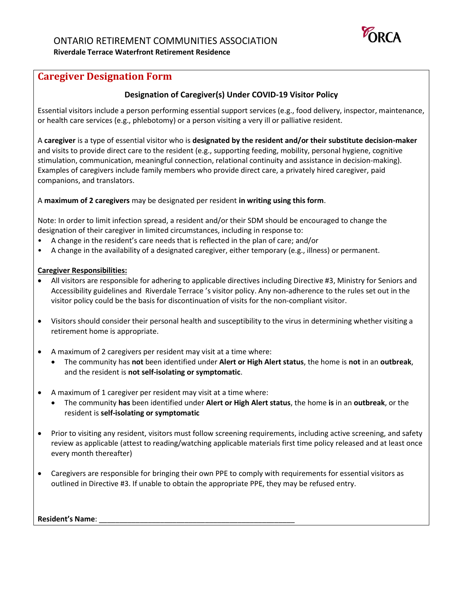

## **Caregiver Designation Form**

## **Designation of Caregiver(s) Under COVID-19 Visitor Policy**

Essential visitors include a person performing essential support services (e.g., food delivery, inspector, maintenance, or health care services (e.g., phlebotomy) or a person visiting a very ill or palliative resident.

A **caregiver** is a type of essential visitor who is **designated by the resident and/or their substitute decision-maker** and visits to provide direct care to the resident (e.g., supporting feeding, mobility, personal hygiene, cognitive stimulation, communication, meaningful connection, relational continuity and assistance in decision-making). Examples of caregivers include family members who provide direct care, a privately hired caregiver, paid companions, and translators.

A **maximum of 2 caregivers** may be designated per resident **in writing using this form**.

Note: In order to limit infection spread, a resident and/or their SDM should be encouraged to change the designation of their caregiver in limited circumstances, including in response to:

- A change in the resident's care needs that is reflected in the plan of care; and/or
- A change in the availability of a designated caregiver, either temporary (e.g., illness) or permanent.

## **Caregiver Responsibilities:**

- All visitors are responsible for adhering to applicable directives including Directive #3, Ministry for Seniors and Accessibility guidelines and Riverdale Terrace 's visitor policy. Any non-adherence to the rules set out in the visitor policy could be the basis for discontinuation of visits for the non-compliant visitor.
- Visitors should consider their personal health and susceptibility to the virus in determining whether visiting a retirement home is appropriate.
- A maximum of 2 caregivers per resident may visit at a time where:
	- The community has **not** been identified under **Alert or High Alert status**, the home is **not** in an **outbreak**, and the resident is **not self-isolating or symptomatic**.
- A maximum of 1 caregiver per resident may visit at a time where:
	- The community **has** been identified under **Alert or High Alert status**, the home **is** in an **outbreak**, or the resident is **self-isolating or symptomatic**
- Prior to visiting any resident, visitors must follow screening requirements, including active screening, and safety review as applicable (attest to reading/watching applicable materials first time policy released and at least once every month thereafter)
- Caregivers are responsible for bringing their own PPE to comply with requirements for essential visitors as outlined in Directive #3. If unable to obtain the appropriate PPE, they may be refused entry.

**Resident's Name**: \_\_\_\_\_\_\_\_\_\_\_\_\_\_\_\_\_\_\_\_\_\_\_\_\_\_\_\_\_\_\_\_\_\_\_\_\_\_\_\_\_\_\_\_\_\_\_\_